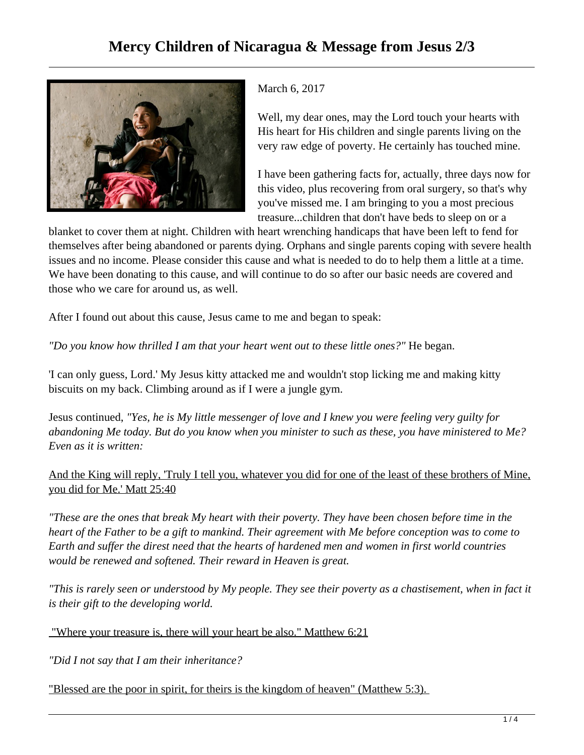

March 6, 2017

Well, my dear ones, may the Lord touch your hearts with His heart for His children and single parents living on the very raw edge of poverty. He certainly has touched mine.

I have been gathering facts for, actually, three days now for this video, plus recovering from oral surgery, so that's why you've missed me. I am bringing to you a most precious treasure...children that don't have beds to sleep on or a

blanket to cover them at night. Children with heart wrenching handicaps that have been left to fend for themselves after being abandoned or parents dying. Orphans and single parents coping with severe health issues and no income. Please consider this cause and what is needed to do to help them a little at a time. We have been donating to this cause, and will continue to do so after our basic needs are covered and those who we care for around us, as well.

After I found out about this cause, Jesus came to me and began to speak:

*"Do you know how thrilled I am that your heart went out to these little ones?"* He began.

'I can only guess, Lord.' My Jesus kitty attacked me and wouldn't stop licking me and making kitty biscuits on my back. Climbing around as if I were a jungle gym.

Jesus continued, *"Yes, he is My little messenger of love and I knew you were feeling very guilty for abandoning Me today. But do you know when you minister to such as these, you have ministered to Me? Even as it is written:*

And the King will reply, 'Truly I tell you, whatever you did for one of the least of these brothers of Mine, you did for Me.' Matt 25:40

*"These are the ones that break My heart with their poverty. They have been chosen before time in the heart of the Father to be a gift to mankind. Their agreement with Me before conception was to come to Earth and suffer the direst need that the hearts of hardened men and women in first world countries would be renewed and softened. Their reward in Heaven is great.* 

*"This is rarely seen or understood by My people. They see their poverty as a chastisement, when in fact it is their gift to the developing world.*

"Where your treasure is, there will your heart be also." Matthew 6:21

*"Did I not say that I am their inheritance?* 

"Blessed are the poor in spirit, for theirs is the kingdom of heaven" (Matthew 5:3).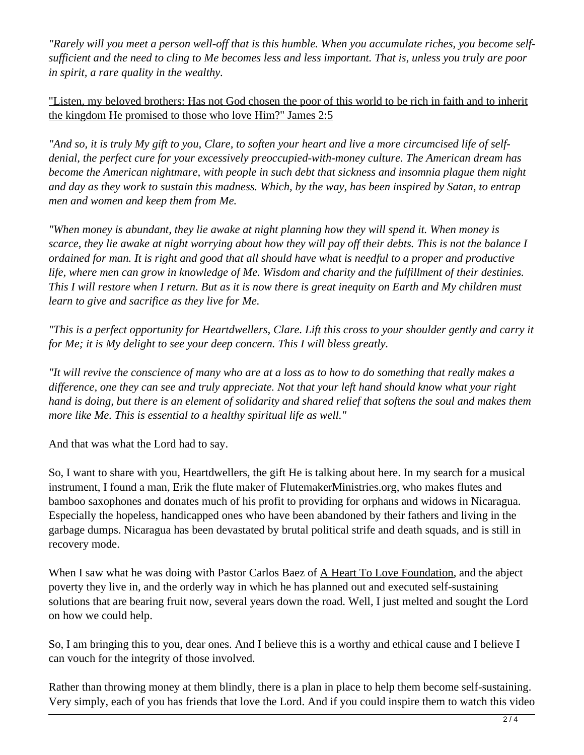*"Rarely will you meet a person well-off that is this humble. When you accumulate riches, you become selfsufficient and the need to cling to Me becomes less and less important. That is, unless you truly are poor in spirit, a rare quality in the wealthy.*

"Listen, my beloved brothers: Has not God chosen the poor of this world to be rich in faith and to inherit the kingdom He promised to those who love Him?" James 2:5

*"And so, it is truly My gift to you, Clare, to soften your heart and live a more circumcised life of selfdenial, the perfect cure for your excessively preoccupied-with-money culture. The American dream has become the American nightmare, with people in such debt that sickness and insomnia plague them night and day as they work to sustain this madness. Which, by the way, has been inspired by Satan, to entrap men and women and keep them from Me.*

*"When money is abundant, they lie awake at night planning how they will spend it. When money is scarce, they lie awake at night worrying about how they will pay off their debts. This is not the balance I ordained for man. It is right and good that all should have what is needful to a proper and productive life, where men can grow in knowledge of Me. Wisdom and charity and the fulfillment of their destinies. This I will restore when I return. But as it is now there is great inequity on Earth and My children must learn to give and sacrifice as they live for Me.*

*"This is a perfect opportunity for Heartdwellers, Clare. Lift this cross to your shoulder gently and carry it for Me; it is My delight to see your deep concern. This I will bless greatly.* 

*"It will revive the conscience of many who are at a loss as to how to do something that really makes a difference, one they can see and truly appreciate. Not that your left hand should know what your right hand is doing, but there is an element of solidarity and shared relief that softens the soul and makes them more like Me. This is essential to a healthy spiritual life as well."*

And that was what the Lord had to say.

So, I want to share with you, Heartdwellers, the gift He is talking about here. In my search for a musical instrument, I found a man, Erik the flute maker of FlutemakerMinistries.org, who makes flutes and bamboo saxophones and donates much of his profit to providing for orphans and widows in Nicaragua. Especially the hopeless, handicapped ones who have been abandoned by their fathers and living in the garbage dumps. Nicaragua has been devastated by brutal political strife and death squads, and is still in recovery mode.

When I saw what he was doing with Pastor Carlos Baez of A Heart To Love Foundation, and the abject poverty they live in, and the orderly way in which he has planned out and executed self-sustaining solutions that are bearing fruit now, several years down the road. Well, I just melted and sought the Lord on how we could help.

So, I am bringing this to you, dear ones. And I believe this is a worthy and ethical cause and I believe I can vouch for the integrity of those involved.

Rather than throwing money at them blindly, there is a plan in place to help them become self-sustaining. Very simply, each of you has friends that love the Lord. And if you could inspire them to watch this video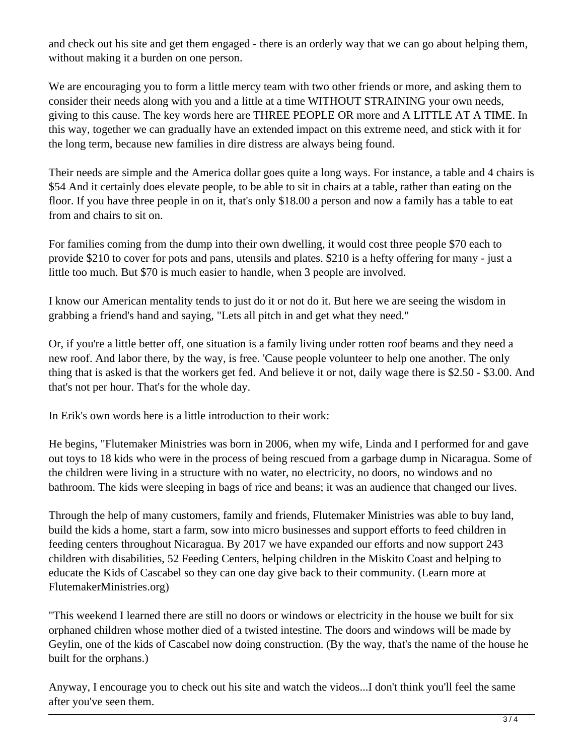and check out his site and get them engaged - there is an orderly way that we can go about helping them, without making it a burden on one person.

We are encouraging you to form a little mercy team with two other friends or more, and asking them to consider their needs along with you and a little at a time WITHOUT STRAINING your own needs, giving to this cause. The key words here are THREE PEOPLE OR more and A LITTLE AT A TIME. In this way, together we can gradually have an extended impact on this extreme need, and stick with it for the long term, because new families in dire distress are always being found.

Their needs are simple and the America dollar goes quite a long ways. For instance, a table and 4 chairs is \$54 And it certainly does elevate people, to be able to sit in chairs at a table, rather than eating on the floor. If you have three people in on it, that's only \$18.00 a person and now a family has a table to eat from and chairs to sit on.

For families coming from the dump into their own dwelling, it would cost three people \$70 each to provide \$210 to cover for pots and pans, utensils and plates. \$210 is a hefty offering for many - just a little too much. But \$70 is much easier to handle, when 3 people are involved.

I know our American mentality tends to just do it or not do it. But here we are seeing the wisdom in grabbing a friend's hand and saying, "Lets all pitch in and get what they need."

Or, if you're a little better off, one situation is a family living under rotten roof beams and they need a new roof. And labor there, by the way, is free. 'Cause people volunteer to help one another. The only thing that is asked is that the workers get fed. And believe it or not, daily wage there is \$2.50 - \$3.00. And that's not per hour. That's for the whole day.

In Erik's own words here is a little introduction to their work:

He begins, "Flutemaker Ministries was born in 2006, when my wife, Linda and I performed for and gave out toys to 18 kids who were in the process of being rescued from a garbage dump in Nicaragua. Some of the children were living in a structure with no water, no electricity, no doors, no windows and no bathroom. The kids were sleeping in bags of rice and beans; it was an audience that changed our lives.

Through the help of many customers, family and friends, Flutemaker Ministries was able to buy land, build the kids a home, start a farm, sow into micro businesses and support efforts to feed children in feeding centers throughout Nicaragua. By 2017 we have expanded our efforts and now support 243 children with disabilities, 52 Feeding Centers, helping children in the Miskito Coast and helping to educate the Kids of Cascabel so they can one day give back to their community. (Learn more at FlutemakerMinistries.org)

"This weekend I learned there are still no doors or windows or electricity in the house we built for six orphaned children whose mother died of a twisted intestine. The doors and windows will be made by Geylin, one of the kids of Cascabel now doing construction. (By the way, that's the name of the house he built for the orphans.)

Anyway, I encourage you to check out his site and watch the videos...I don't think you'll feel the same after you've seen them.